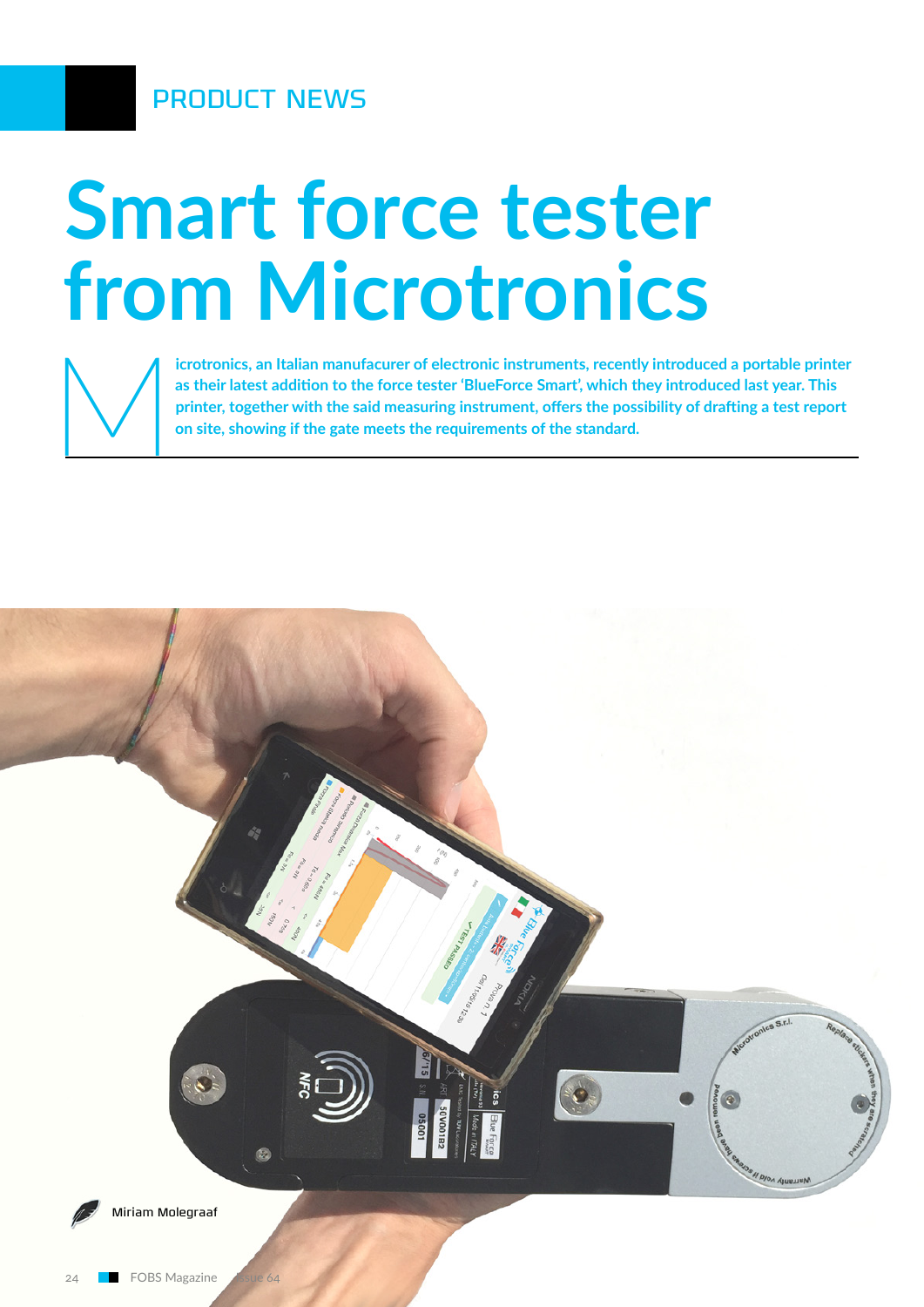PRODUCT NEWS

# **Smart force tester from Microtronics**



**icrotronics, an Italian manufacurer of electronic instruments, recently introduced a portable printer as their latest addition to the force tester 'BlueForce Smart', which they introduced last year. This printer, together as their latest addition to the force tester 'BlueForce Smart', which they introduced last year. This printer, together with the said measuring instrument, offers the possibility of drafting a test report on site, showing if the gate meets the requirements of the standard.**

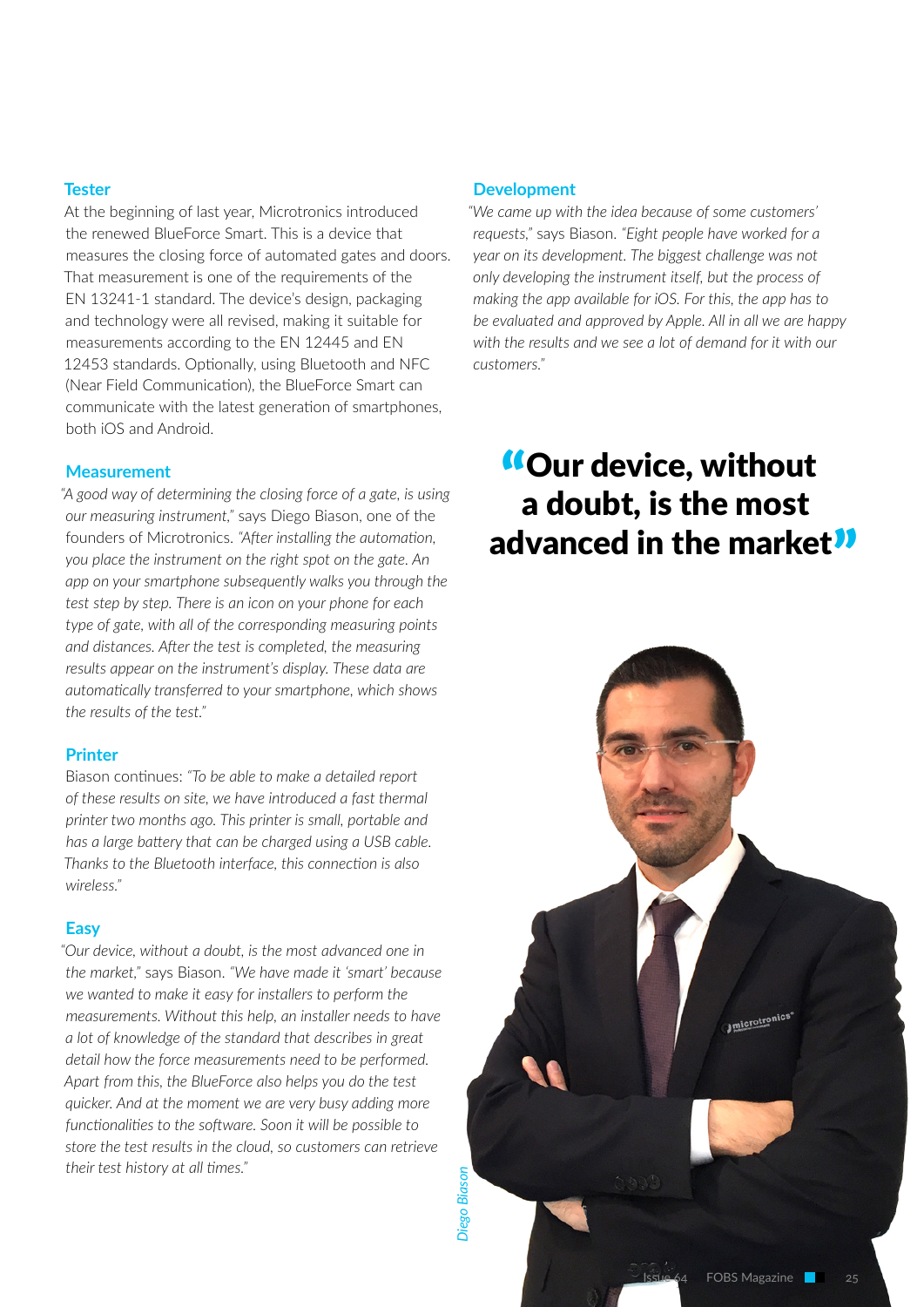## **Tester**

At the beginning of last year, Microtronics introduced the renewed BlueForce Smart. This is a device that measures the closing force of automated gates and doors. That measurement is one of the requirements of the EN 13241-1 standard. The device's design, packaging and technology were all revised, making it suitable for measurements according to the EN 12445 and EN 12453 standards. Optionally, using Bluetooth and NFC (Near Field Communication), the BlueForce Smart can communicate with the latest generation of smartphones, both iOS and Android.

#### **Measurement**

*"A good way of determining the closing force of a gate, is using our measuring instrument,"* says Diego Biason, one of the founders of Microtronics. *"After installing the automation, you place the instrument on the right spot on the gate. An app on your smartphone subsequently walks you through the test step by step. There is an icon on your phone for each type of gate, with all of the corresponding measuring points and distances. After the test is completed, the measuring results appear on the instrument's display. These data are automatically transferred to your smartphone, which shows the results of the test."*

#### **Printer**

Biason continues: *"To be able to make a detailed report of these results on site, we have introduced a fast thermal printer two months ago. This printer is small, portable and has a large battery that can be charged using a USB cable. Thanks to the Bluetooth interface, this connection is also wireless."*

#### **Easy**

*"Our device, without a doubt, is the most advanced one in the market,"* says Biason. *"We have made it 'smart' because we wanted to make it easy for installers to perform the measurements. Without this help, an installer needs to have a lot of knowledge of the standard that describes in great detail how the force measurements need to be performed. Apart from this, the BlueForce also helps you do the test quicker. And at the moment we are very busy adding more functionalities to the software. Soon it will be possible to store the test results in the cloud, so customers can retrieve their test history at all times."*

#### **Development**

*"We came up with the idea because of some customers' requests,"* says Biason. *"Eight people have worked for a year on its development. The biggest challenge was not only developing the instrument itself, but the process of making the app available for iOS. For this, the app has to be evaluated and approved by Apple. All in all we are happy with the results and we see a lot of demand for it with our customers."*

# "Our device, without a doubt, is the most advanced in the market<sup>11</sup>